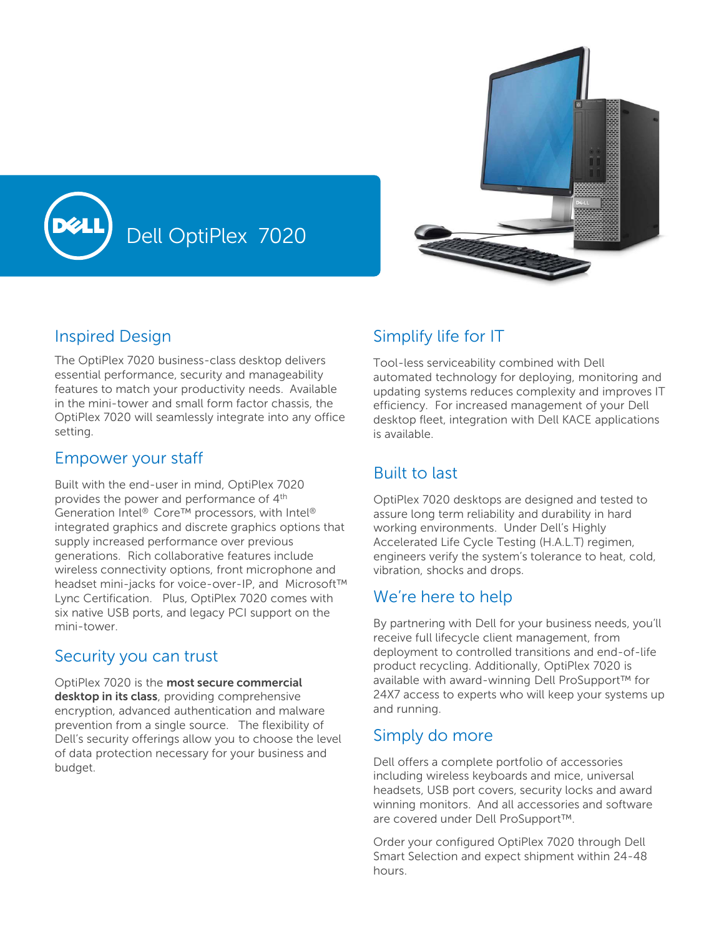

## Inspired Design

The OptiPlex 7020 business-class desktop delivers essential performance, security and manageability features to match your productivity needs. Available in the mini-tower and small form factor chassis, the OptiPlex 7020 will seamlessly integrate into any office setting.

Dell OptiPlex 7020

#### Empower your staff

Built with the end-user in mind, OptiPlex 7020 provides the power and performance of 4<sup>th</sup> Generation Intel® Core™ processors, with Intel® integrated graphics and discrete graphics options that supply increased performance over previous generations. Rich collaborative features include wireless connectivity options, front microphone and headset mini-jacks for voice-over-IP, and Microsoft™ Lync Certification. Plus, OptiPlex 7020 comes with six native USB ports, and legacy PCI support on the mini-tower.

### Security you can trust

OptiPlex 7020 is the **most secure commercial desktop in its class**, providing comprehensive encryption, advanced authentication and malware prevention from a single source. The flexibility of Dell's security offerings allow you to choose the level of data protection necessary for your business and budget.

## Simplify life for IT

Tool-less serviceability combined with Dell automated technology for deploying, monitoring and updating systems reduces complexity and improves IT efficiency. For increased management of your Dell desktop fleet, integration with Dell KACE applications is available.

# Built to last

OptiPlex 7020 desktops are designed and tested to assure long term reliability and durability in hard working environments. Under Dell's Highly Accelerated Life Cycle Testing (H.A.L.T) regimen, engineers verify the system's tolerance to heat, cold, vibration, shocks and drops.

## We're here to help

By partnering with Dell for your business needs, you'll receive full lifecycle client management, from deployment to controlled transitions and end-of-life product recycling. Additionally, OptiPlex 7020 is available with award-winning Dell ProSupport™ for 24X7 access to experts who will keep your systems up and running.

## Simply do more

Dell offers a complete portfolio of accessories including wireless keyboards and mice, universal headsets, USB port covers, security locks and award winning monitors. And all accessories and software are covered under Dell ProSupport™.

Order your configured OptiPlex 7020 through Dell Smart Selection and expect shipment within 24-48 hours.